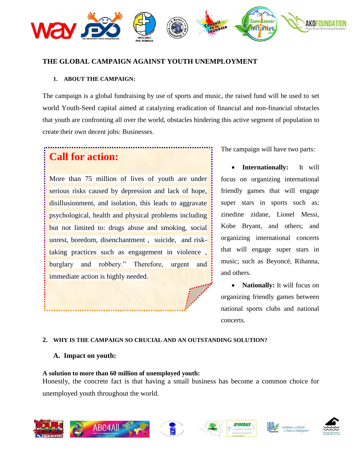

### **THE GLOBAL CAMPAIGN AGAINST YOUTH UNEMPLOYMENT**

#### **1. ABOUT THE CAMPAIGN:**

The campaign is a global fundraising by use of sports and music, the raised fund will be used to set world Youth-Seed capital aimed at catalyzing eradication of financial and non-financial obstacles that youth are confronting all over the world, obstacles hindering this active segment of population to create their own decent jobs: Businesses.

# **Call for action:**

More than 75 million of lives of youth are under serious risks caused by depression and lack of hope, disillusionment, and isolation, this leads to aggravate psychological, health and physical problems including but not limited to: drugs abuse and smoking, social unrest, boredom, disenchantment , suicide, and risktaking practices such as engagement in violence , burglary and robbery." Therefore, urgent and immediate action is highly needed.

The campaign will have two parts:

 **Internationally:** It will focus on organizing international friendly games that will engage super stars in sports such as; zinedine zidane, Lionel Messi, Kobe Bryant, and others; and organizing international concerts that will engage super stars in music; such as Beyoncé, Rihanna, and others.

• **Nationally:** It will focus on organizing friendly games between national sports clubs and national concerts.

#### **2. WHY IS THE CAMPAIGN SO CRUCIAL AND AN OUTSTANDING SOLUTION?**

#### **A. Impact on youth:**

#### **A solution to more than 60 million of unemployed youth:**

Honestly, the concrete fact is that having a small business has become a common choice for unemployed youth throughout the world.











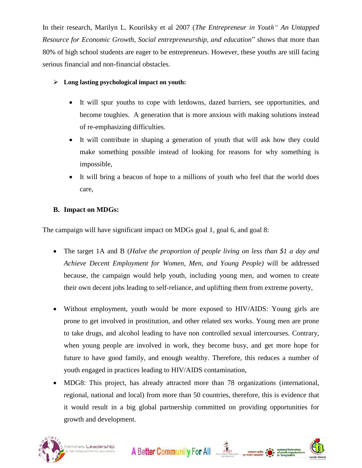In their research, Marilyn L. Kourilsky et al 2007 (*The Entrepreneur in Youth" An Untapped Resource for Economic Growth, Social entrepreneurship, and education*" shows that more than 80% of high school students are eager to be entrepreneurs. However, these youths are still facing serious financial and non-financial obstacles.

## **Long lasting psychological impact on youth:**

- It will spur youths to cope with letdowns, dazed barriers, see opportunities, and become toughies. A generation that is more anxious with making solutions instead of re-emphasizing difficulties.
- It will contribute in shaping a generation of youth that will ask how they could make something possible instead of looking for reasons for why something is impossible,
- It will bring a beacon of hope to a millions of youth who feel that the world does care,

# **B. Impact on MDGs:**

The campaign will have significant impact on MDGs goal 1, goal 6, and goal 8:

- The target 1A and B (*Halve the proportion of people living on less than \$1 a day and Achieve Decent Employment for Women, Men, and Young People)* will be addressed because, the campaign would help youth, including young men, and women to create their own decent jobs leading to self-reliance, and uplifting them from extreme poverty,
- Without employment, youth would be more exposed to HIV/AIDS: Young girls are prone to get involved in prostitution, and other related sex works. Young men are prone to take drugs, and alcohol leading to have non controlled sexual intercourses. Contrary, when young people are involved in work, they become busy, and get more hope for future to have good family, and enough wealthy. Therefore, this reduces a number of youth engaged in practices leading to HIV/AIDS contamination,
- MDG8: This project, has already attracted more than 78 organizations (international, regional, national and local) from more than 50 countries, therefore, this is evidence that it would result in a big global partnership committed on providing opportunities for growth and development.

A Better Community For All AD TRINGER COMMUNITY FOR ALL TRINGER COMMUNITY